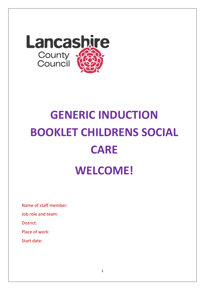

# **GENERIC INDUCTION BOOKLET CHILDRENS SOCIAL CARE WELCOME!**

Name of staff member:

Job role and team:

District:

Place of work:

Start date: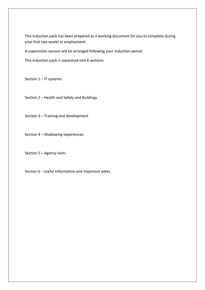This induction pack has been prepared as a working document for you to complete during your first two weeks in employment.

A supervision session will be arranged following your induction period

This induction pack is separated into 6 sections

Section 1 – IT systems

Section 2 – Health and Safety and Buildings

Section 3 – Training and development

Section 4 – Shadowing experiences

Section 5 – Agency visits

Section 6 - Useful Information and important dates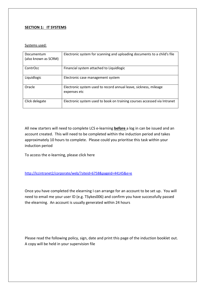#### **SECTION 1: IT SYSTEMS**

#### Systems used:

| Documentum<br>(also known as SCRM) | Electronic system for scanning and uploading documents to a child's file         |
|------------------------------------|----------------------------------------------------------------------------------|
| ContrOcc                           | Financial system attached to Liquidlogic                                         |
| Liquidlogic                        | Electronic case management system                                                |
| Oracle                             | Electronic system used to record annual leave, sickness, mileage<br>expenses etc |
| Click delegate                     | Electronic system used to book on training courses accessed via Intranet         |

All new starters will need to complete LCS e-learning **before** a log in can be issued and an account created. This will need to be completed within the induction period and takes approximately 10 hours to complete. Please could you prioritise this task within your induction period

To access the e-learning, please click here

#### <http://lccintranet2/corporate/web/?siteid=6758&pageid=44145&e=e>

Once you have completed the elearning I can arrange for an account to be set up. You will need to email me your user ID (e.g. TSykes006) and confirm you have successfully passed the elearning. An account is usually generated within 24 hours

Please read the following policy, sign, date and print this page of the induction booklet out. A copy will be held in your supervision file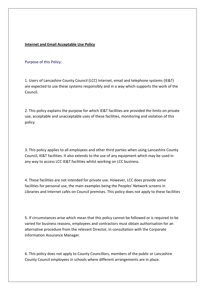#### **Internet and Email Acceptable Use Policy**

#### Purpose of this Policy:

1. Users of Lancashire County Council (LCC) Internet, email and telephone systems (IE&T) are expected to use these systems responsibly and in a way which supports the work of the Council.

2. This policy explains the purpose for which IE&T facilities are provided the limits on private use, acceptable and unacceptable uses of these facilities, monitoring and violation of this policy

3. This policy applies to all employees and other third parties when using Lancashire County Council, IE&T facilities. It also extends to the use of any equipment which may be used in any way to access LCC IE&T facilities whilst working on LCC business.

4. These facilities are not intended for private use. However, LCC does provide some facilities for personal use, the main examples being the Peoples' Network screens in Libraries and Internet cafés on Council premises. This policy does not apply to these facilities

5. If circumstances arise which mean that this policy cannot be followed or is required to be varied for business reasons, employees and contractors must obtain authorisation for an alternative procedure from the relevant Director, in consultation with the Corporate Information Assurance Manager.

6. This policy does not apply to County Councillors, members of the public or Lancashire County Council employees in schools where different arrangements are in place.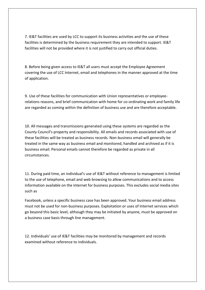7. IE&T facilities are used by LCC to support its business activities and the use of these facilities is determined by the business requirement they are intended to support. IE&T facilities will not be provided where it is not justified to carry out official duties.

8. Before being given access to IE&T all users must accept the Employee Agreement covering the use of LCC Internet, email and telephones in the manner approved at the time of application.

9. Use of these facilities for communication with Union representatives or employeerelations reasons, and brief communication with home for co-ordinating work and family life are regarded as coming within the definition of business use and are therefore acceptable.

10. All messages and transmissions generated using these systems are regarded as the County Council's property and responsibility. All emails and records associated with use of these facilities will be treated as business records. Non-business email will generally be treated in the same way as business email and monitored, handled and archived as if it is business email. Personal emails cannot therefore be regarded as private in all circumstances.

11. During paid time, an individual's use of IE&T without reference to management is limited to the use of telephone, email and web browsing to allow communications and to access information available on the Internet for business purposes. This excludes social media sites such as

Facebook, unless a specific business case has been approved. Your business email address must not be used for non-business purposes. Exploitation or uses of Internet services which go beyond this basic level, although they may be initiated by anyone, must be approved on a business case basis through line management.

12. Individuals' use of IE&T facilities may be monitored by management and records examined without reference to individuals.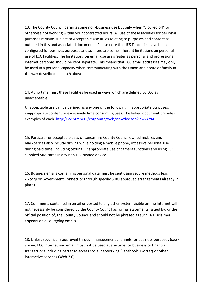13. The County Council permits some non-business use but only when "clocked off" or otherwise not working within your contracted hours. All use of these facilities for personal purposes remains subject to Acceptable Use Rules relating to purposes and content as outlined in this and associated documents. Please note that IE&T facilities have been configured for business purposes and so there are some inherent limitations on personal use of LCC facilities. The limitations on email use are greater as personal and professional internet personas should be kept separate. This means that LCC email addresses may only be used in a personal capacity when communicating with the Union and home or family in the way described in para 9 above.

14. At no time must these facilities be used in ways which are defined by LCC as unacceptable.

Unacceptable use can be defined as any one of the following: inappropriate purposes, inappropriate content or excessively time consuming uses. The linked document provides examples of each.<http://lccintranet2/corporate/web/viewdoc.asp?id=63794>

15. Particular unacceptable uses of Lancashire County Council owned mobiles and blackberries also include driving while holding a mobile phone, excessive personal use during paid time (including texting), inappropriate use of camera functions and using LCC supplied SIM cards in any non LCC owned device.

16. Business emails containing personal data must be sent using secure methods (e.g. Zixcorp or Government Connect or through specific SIRO approved arrangements already in place)

17. Comments contained in email or posted to any other system visible on the Internet will not necessarily be considered by the County Council as formal statements issued by, or the official position of, the County Council and should not be phrased as such. A Disclaimer appears on all outgoing emails.

18. Unless specifically approved through management channels for business purposes (see 4 above) LCC Internet and email must not be used at any time for business or financial transactions including barter to access social networking (Facebook, Twitter) or other interactive services (Web 2.0).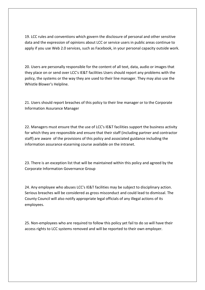19. LCC rules and conventions which govern the disclosure of personal and other sensitive data and the expression of opinions about LCC or service users in public areas continue to apply if you use Web 2.0 services, such as Facebook, in your personal capacity outside work.

20. Users are personally responsible for the content of all text, data, audio or images that they place on or send over LCC's IE&T facilities Users should report any problems with the policy, the systems or the way they are used to their line manager. They may also use the Whistle Blower's Helpline.

21. Users should report breaches of this policy to their line manager or to the Corporate Information Assurance Manager

22. Managers must ensure that the use of LCC's IE&T facilities support the business activity for which they are responsible and ensure that their staff (including partner and contractor staff) are aware of the provisions of this policy and associated guidance including the information assurance eLearning course available on the intranet.

23. There is an exception list that will be maintained within this policy and agreed by the Corporate Information Governance Group

24. Any employee who abuses LCC's IE&T facilities may be subject to disciplinary action. Serious breaches will be considered as gross misconduct and could lead to dismissal. The County Council will also notify appropriate legal officials of any illegal actions of its employees.

25. Non-employees who are required to follow this policy yet fail to do so will have their access rights to LCC systems removed and will be reported to their own employer.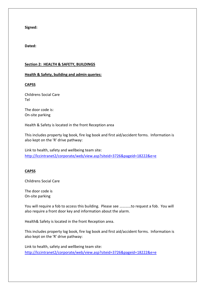**Signed:**

**Dated:**

#### **Section 2: HEALTH & SAFETY, BUILDINGS**

#### **Health & Safety, building and admin queries:**

#### **CAPSS**

Childrens Social Care Tel

The door code is: On-site parking

Health & Safety is located in the front Reception area

This includes property log book, fire log book and first aid/accident forms. Information is also kept on the 'R' drive pathway:

Link to health, safety and wellbeing team site: <http://lccintranet2/corporate/web/view.asp?siteid=3726&pageid=18222&e=e>

#### **CAPSS**

Childrens Social Care

The door code is On-site parking

You will require a fob to access this building. Please see …………to request a fob. You will also require a front door key and information about the alarm.

Health& Safety is located in the front Reception area.

This includes property log book, fire log book and first aid/accident forms. Information is also kept on the 'R' drive pathway:

Link to health, safety and wellbeing team site: <http://lccintranet2/corporate/web/view.asp?siteid=3726&pageid=18222&e=e>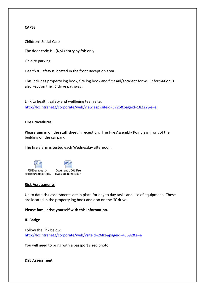#### **CAPSS**

Childrens Social Care

The door code is - (N/A) entry by fob only

On-site parking

Health & Safety is located in the front Reception area.

This includes property log book, fire log book and first aid/accident forms. Information is also kept on the 'R' drive pathway:

Link to health, safety and wellbeing team site: <http://lccintranet2/corporate/web/view.asp?siteid=3726&pageid=18222&e=e>

#### **Fire Procedures**

Please sign in on the staff sheet in reception. The Fire Assembly Point is in front of the building on the car park.

The fire alarm is tested each Wednesday afternoon.



procedure updated S<sub>I</sub> Evacuation Procedure Document UD01 Fire

#### **Risk Assessments**

Up to date risk assessments are in place for day to day tasks and use of equipment. These are located in the property log book and also on the 'R' drive.

#### **Please familiarise yourself with this information.**

#### **ID Badge**

Follow the link below: <http://lccintranet2/corporate/web/?siteid=2681&pageid=40692&e=e>

You will need to bring with a passport sized photo

#### **DSE Assessment**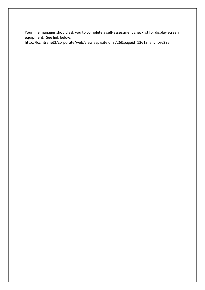Your line manager should ask you to complete a self-assessment checklist for display screen equipment. See link below:

http://lccintranet2/corporate/web/view.asp?siteid=3726&pageid=13613#anchor6295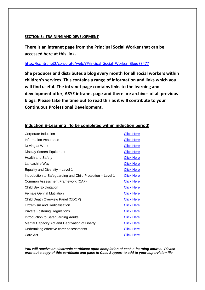#### **SECTION 3: TRAINING AND DEVELOPMENT**

**There is an intranet page from the Principal Social Worker that can be accessed here at this link.** 

#### [http://lccintranet2/corporate/web/?Principal\\_Social\\_Worker\\_Blog/33477](http://lccintranet2/corporate/web/?Principal_Social_Worker_Blog/33477)

**She produces and distributes a blog every month for all social workers within children's services. This contains a range of information and links which you will find useful. The intranet page contains links to the learning and development offer, ASYE intranet page and there are archives of all previous blogs. Please take the time out to read this as it will contribute to your Continuous Professional Development.** 

| Corporate Induction                                         | <b>Click Here</b> |
|-------------------------------------------------------------|-------------------|
| Information Assurance                                       | <b>Click Here</b> |
| Driving at Work                                             | <b>Click Here</b> |
| Display Screen Equipment                                    | <b>Click Here</b> |
| <b>Health and Safety</b>                                    | <b>Click Here</b> |
| Lancashire Way                                              | <b>Click Here</b> |
| Equality and Diversity - Level 1                            | <b>Click Here</b> |
| Introduction to Safeguarding and Child Protection - Level 1 | <b>Click Here</b> |
| Common Assessment Framework (CAF)                           | <b>Click Here</b> |
| <b>Child Sex Exploitation</b>                               | <b>Click Here</b> |
| <b>Female Genital Mutilation</b>                            | <b>Click Here</b> |
| Child Death Overview Panel (CDOP)                           | <b>Click Here</b> |
| <b>Extremism and Radicalisation</b>                         | <b>Click Here</b> |
| <b>Private Fostering Regulations</b>                        | <b>Click Here</b> |
| Introduction to Safeguarding Adults                         | <b>Click Here</b> |
| Mental Capacity Act and Deprivation of Liberty              | <b>Click Here</b> |
| Undertaking effective carer assessments                     | <b>Click Here</b> |
| Care Act                                                    | <b>Click Here</b> |
|                                                             |                   |

#### **Induction E-Learning (to be completed within induction period)**

*You will receive an electronic certificate upon completion of each e-learning course. Please print out a copy of this certificate and pass to Case Support to add to your supervision file*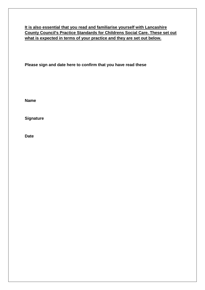**It is also essential that you read and familiarise yourself with Lancashire County Council's Practice Standards for Childrens Social Care. These set out what is expected in terms of your practice and they are set out below.** 

**Please sign and date here to confirm that you have read these**

**Name** 

**Signature** 

**Date**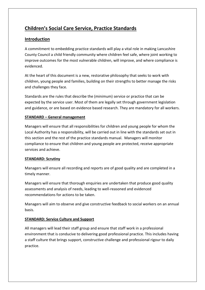## **Children's Social Care Service, Practice Standards**

## **Introduction**

A commitment to embedding practice standards will play a vital role in making Lancashire County Council a child friendly community where children feel safe, where joint working to improve outcomes for the most vulnerable children, will improve, and where compliance is evidenced.

At the heart of this document is a new, restorative philosophy that seeks to work with children, young people and families, building on their strengths to better manage the risks and challenges they face.

Standards are the rules that describe the (minimum) service or practice that can be expected by the service user. Most of them are legally set through government legislation and guidance, or are based on evidence based research. They are mandatory for all workers.

## **STANDARD – General management**

Managers will ensure that all responsibilities for children and young people for whom the Local Authority has a responsibility, will be carried out in line with the standards set out in this section and the rest of the practice standards manual. Managers will monitor compliance to ensure that children and young people are protected, receive appropriate services and achieve.

#### **STANDARD: Scrutiny**

Managers will ensure all recording and reports are of good quality and are completed in a timely manner.

Managers will ensure that thorough enquiries are undertaken that produce good quality assessments and analysis of needs, leading to well-reasoned and evidenced recommendations for actions to be taken.

Managers will aim to observe and give constructive feedback to social workers on an annual basis.

## **STANDARD: Service Culture and Support**

All managers will lead their staff group and ensure that staff work in a professional environment that is conducive to delivering good professional practice. This includes having a staff culture that brings support, constructive challenge and professional rigour to daily practice.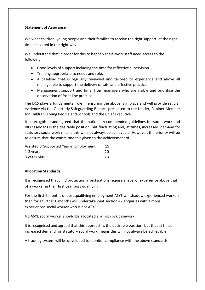#### **Statement of Assurance**

We want children, young people and their families to receive the right support, at the right time delivered in the right way.

We understand that in order for this to happen social work staff need access to the following:

- Good levels of support including the time for reflective supervision.
- Training appropriate to needs and role.
- A caseload that is regularly reviewed and tailored to experience and above all manageable to support the delivery of safe and effective practice.
- Management support and time, from managers who are visible and prioritise the observation of front line practice.

The DCS plays a fundamental role in ensuring the above is in place and will provide regular evidence via the Quarterly Safeguarding Reports presented to the Leader, Cabinet Member for Children, Young People and Schools and the Chief Executive.

It is recognised and agreed that the national recommended guidelines for social work and IRO caseloads is the desirable position, but fluctuating and, at times, increased demand for statutory social work means this will not always be achievable. However, the priority will be to ensure that the commitment is given to the achievement of:

| Assisted & Supported Year in Employment | 15 |
|-----------------------------------------|----|
| $1-3$ years                             | 20 |
| 3 years plus                            | 23 |

#### **Allocation Standards**

It is recognised that child protection investigations require a level of experience above that of a worker in their first year post qualifying.

For the first 6 months of post qualifying employment ASYE will shadow experienced workers then for a further 6 months will undertake joint section 47 enquiries with a more experienced social worker who is not ASYE.

No ASYE social worker should be allocated any high risk casework.

It is recognised and agreed that this approach is the desirable position, but that at times, increased demand for statutory social work means this will not always be achievable.

A tracking system will be developed to monitor compliance with the above standards.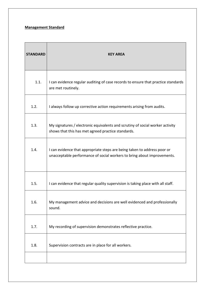#### **Management Standard**

| <b>STANDARD</b> | <b>KEY AREA</b>                                                                                                                                     |
|-----------------|-----------------------------------------------------------------------------------------------------------------------------------------------------|
| 1.1.            | I can evidence regular auditing of case records to ensure that practice standards<br>are met routinely.                                             |
| 1.2.            | I always follow up corrective action requirements arising from audits.                                                                              |
| 1.3.            | My signatures / electronic equivalents and scrutiny of social worker activity<br>shows that this has met agreed practice standards.                 |
| 1.4.            | I can evidence that appropriate steps are being taken to address poor or<br>unacceptable performance of social workers to bring about improvements. |
| 1.5.            | I can evidence that regular quality supervision is taking place with all staff.                                                                     |
| 1.6.            | My management advice and decisions are well evidenced and professionally<br>sound.                                                                  |
| 1.7.            | My recording of supervision demonstrates reflective practice.                                                                                       |
| 1.8.            | Supervision contracts are in place for all workers.                                                                                                 |
|                 |                                                                                                                                                     |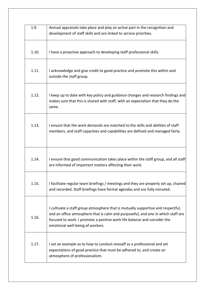| 1.9.  | Annual appraisals take place and play an active part in the recognition and<br>development of staff skills and are linked to service priorities.                                                                                                                                     |
|-------|--------------------------------------------------------------------------------------------------------------------------------------------------------------------------------------------------------------------------------------------------------------------------------------|
| 1.10. | I have a proactive approach to developing staff professional skills.                                                                                                                                                                                                                 |
| 1.11. | I acknowledge and give credit to good practice and promote this within and<br>outside the staff group.                                                                                                                                                                               |
| 1.12. | I keep up to date with key policy and guidance changes and research findings and<br>makes sure that this is shared with staff, with an expectation that they do the<br>same.                                                                                                         |
| 1.13. | I ensure that the work demands are matched to the skills and abilities of staff<br>members, and staff capacities and capabilities are defined and managed fairly.                                                                                                                    |
| 1.14. | I ensure that good communication takes place within the staff group, and all staff<br>are informed of important matters affecting their work.                                                                                                                                        |
| 1.15. | I facilitate regular team briefings / meetings and they are properly set up, chaired<br>and recorded. Staff briefings have formal agendas and are fully minuted.                                                                                                                     |
| 1.16. | I cultivate a staff group atmosphere that is mutually supportive and respectful,<br>and an office atmosphere that is calm and purposeful, and one in which staff are<br>focused to work. I promote a positive work life balance and consider the<br>emotional well-being of workers. |
| 1.17. | I set an example as to how to conduct oneself as a professional and set<br>expectations of good practice that must be adhered to, and create an<br>atmosphere of professionalism.                                                                                                    |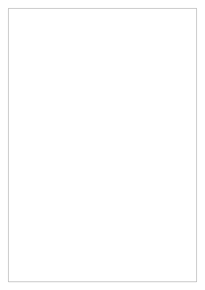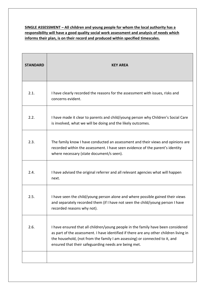## **SINGLE ASSESSMENT – All children and young people for whom the local authority has a responsibility will have a good quality social work assessment and analysis of needs which informs their plan, is on their record and produced within specified timescales.**

| <b>STANDARD</b> | <b>KEY AREA</b>                                                                                                                                                                                                                                                                                                   |
|-----------------|-------------------------------------------------------------------------------------------------------------------------------------------------------------------------------------------------------------------------------------------------------------------------------------------------------------------|
| 2.1.            | I have clearly recorded the reasons for the assessment with issues, risks and<br>concerns evident.                                                                                                                                                                                                                |
| 2.2.            | I have made it clear to parents and child/young person why Children's Social Care<br>is involved, what we will be doing and the likely outcomes.                                                                                                                                                                  |
| 2.3.            | The family know I have conducted an assessment and their views and opinions are<br>recorded within the assessment. I have seen evidence of the parent's identity<br>where necessary (state document/s seen).                                                                                                      |
| 2.4.            | I have advised the original referrer and all relevant agencies what will happen<br>next.                                                                                                                                                                                                                          |
| 2.5.            | I have seen the child/young person alone and where possible gained their views<br>and separately recorded them (if I have not seen the child/young person I have<br>recorded reasons why not).                                                                                                                    |
| 2.6.            | I have ensured that all children/young people in the family have been considered<br>as part of the assessment. I have identified if there are any other children living in<br>the household, (not from the family I am assessing) or connected to it, and<br>ensured that their safeguarding needs are being met. |
|                 |                                                                                                                                                                                                                                                                                                                   |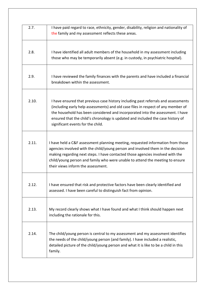| 2.7.  | I have paid regard to race, ethnicity, gender, disability, religion and nationality of<br>the family and my assessment reflects these areas.                                                                                                                                                                                                                                      |
|-------|-----------------------------------------------------------------------------------------------------------------------------------------------------------------------------------------------------------------------------------------------------------------------------------------------------------------------------------------------------------------------------------|
| 2.8.  | I have identified all adult members of the household in my assessment including<br>those who may be temporarily absent (e.g. in custody, in psychiatric hospital).                                                                                                                                                                                                                |
| 2.9.  | I have reviewed the family finances with the parents and have included a financial<br>breakdown within the assessment.                                                                                                                                                                                                                                                            |
| 2.10. | I have ensured that previous case history including past referrals and assessments<br>(including early help assessments) and old case files in respect of any member of<br>the household has been considered and incorporated into the assessment. I have<br>ensured that the child's chronology is updated and included the case history of<br>significant events for the child. |
| 2.11. | I have held a C&F assessment planning meeting, requested information from those<br>agencies involved with the child/young person and involved them in the decision<br>making regarding next steps. I have contacted those agencies involved with the<br>child/young person and family who were unable to attend the meeting to ensure<br>their views inform the assessment.       |
| 2.12. | I have ensured that risk and protective factors have been clearly identified and<br>assessed. I have been careful to distinguish fact from opinion.                                                                                                                                                                                                                               |
| 2.13. | My record clearly shows what I have found and what I think should happen next<br>including the rationale for this.                                                                                                                                                                                                                                                                |
| 2.14. | The child/young person is central to my assessment and my assessment identifies<br>the needs of the child/young person (and family). I have included a realistic,<br>detailed picture of the child/young person and what it is like to be a child in this<br>family.                                                                                                              |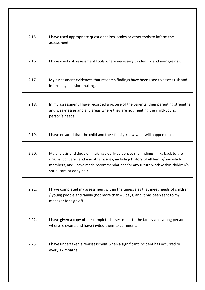| 2.15. | I have used appropriate questionnaires, scales or other tools to inform the<br>assessment.                                                                                                                                                                                            |
|-------|---------------------------------------------------------------------------------------------------------------------------------------------------------------------------------------------------------------------------------------------------------------------------------------|
| 2.16. | I have used risk assessment tools where necessary to identify and manage risk.                                                                                                                                                                                                        |
| 2.17. | My assessment evidences that research findings have been used to assess risk and<br>inform my decision-making.                                                                                                                                                                        |
| 2.18. | In my assessment I have recorded a picture of the parents, their parenting strengths<br>and weaknesses and any areas where they are not meeting the child/young<br>person's needs.                                                                                                    |
| 2.19. | I have ensured that the child and their family know what will happen next.                                                                                                                                                                                                            |
| 2.20. | My analysis and decision making clearly evidences my findings, links back to the<br>original concerns and any other issues, including history of all family/household<br>members, and I have made recommendations for any future work within children's<br>social care or early help. |
| 2.21. | I have completed my assessment within the timescales that meet needs of children<br>/ young people and family (not more than 45 days) and it has been sent to my<br>manager for sign off.                                                                                             |
| 2.22. | I have given a copy of the completed assessment to the family and young person<br>where relevant, and have invited them to comment.                                                                                                                                                   |
| 2.23. | I have undertaken a re-assessment when a significant incident has occurred or<br>every 12 months.                                                                                                                                                                                     |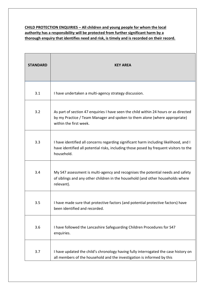## **CHILD PROTECTION ENQUIRIES – All children and young people for whom the local authority has a responsibility will be protected from further significant harm by a thorough enquiry that identifies need and risk, is timely and is recorded on their record.**

| <b>STANDARD</b> | <b>KEY AREA</b>                                                                                                                                                                               |
|-----------------|-----------------------------------------------------------------------------------------------------------------------------------------------------------------------------------------------|
| 3.1             | I have undertaken a multi-agency strategy discussion.                                                                                                                                         |
| 3.2             | As part of section 47 enquiries I have seen the child within 24 hours or as directed<br>by my Practice / Team Manager and spoken to them alone (where appropriate)<br>within the first week.  |
| 3.3             | I have identified all concerns regarding significant harm including likelihood, and I<br>have identified all potential risks, including those posed by frequent visitors to the<br>household. |
| 3.4             | My S47 assessment is multi-agency and recognises the potential needs and safety<br>of siblings and any other children in the household (and other households where<br>relevant).              |
| 3.5             | I have made sure that protective factors (and potential protective factors) have<br>been identified and recorded.                                                                             |
| 3.6             | I have followed the Lancashire Safeguarding Children Procedures for S47<br>enquiries.                                                                                                         |
| 3.7             | I have updated the child's chronology having fully interrogated the case history on<br>all members of the household and the investigation is informed by this                                 |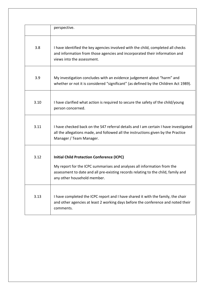|      | perspective.                                                                                                                                                                                                                                     |
|------|--------------------------------------------------------------------------------------------------------------------------------------------------------------------------------------------------------------------------------------------------|
| 3.8  | I have identified the key agencies involved with the child, completed all checks<br>and information from those agencies and incorporated their information and<br>views into the assessment.                                                     |
| 3.9  | My investigation concludes with an evidence judgement about "harm" and<br>whether or not it is considered "significant" (as defined by the Children Act 1989).                                                                                   |
| 3.10 | I have clarified what action is required to secure the safety of the child/young<br>person concerned.                                                                                                                                            |
| 3.11 | I have checked back on the S47 referral details and I am certain I have investigated<br>all the allegations made, and followed all the instructions given by the Practice<br>Manager / Team Manager.                                             |
| 3.12 | <b>Initial Child Protection Conference (ICPC)</b><br>My report for the ICPC summarises and analyses all information from the<br>assessment to date and all pre-existing records relating to the child, family and<br>any other household member. |
| 3.13 | I have completed the ICPC report and I have shared it with the family, the chair<br>and other agencies at least 2 working days before the conference and noted their<br>comments.                                                                |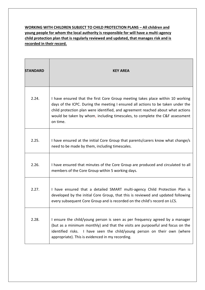**WORKING WITH CHILDREN SUBJECT TO CHILD PROTECTION PLANS – All children and young people for whom the local authority is responsible for will have a multi-agency child protection plan that is regularly reviewed and updated, that manages risk and is recorded in their record.** 

| <b>STANDARD</b> | <b>KEY AREA</b>                                                                                                                                                                                                                                                                                                                                   |
|-----------------|---------------------------------------------------------------------------------------------------------------------------------------------------------------------------------------------------------------------------------------------------------------------------------------------------------------------------------------------------|
| 2.24.           | I have ensured that the first Core Group meeting takes place within 10 working<br>days of the ICPC. During the meeting I ensured all actions to be taken under the<br>child protection plan were identified, and agreement reached about what actions<br>would be taken by whom, including timescales, to complete the C&F assessment<br>on time. |
| 2.25.           | I have ensured at the initial Core Group that parents/carers know what change/s<br>need to be made by them, including timescales.                                                                                                                                                                                                                 |
| 2.26.           | I have ensured that minutes of the Core Group are produced and circulated to all<br>members of the Core Group within 5 working days.                                                                                                                                                                                                              |
| 2.27.           | I have ensured that a detailed SMART multi-agency Child Protection Plan is<br>developed by the initial Core Group, that this is reviewed and updated following<br>every subsequent Core Group and is recorded on the child's record on LCS.                                                                                                       |
| 2.28.           | I ensure the child/young person is seen as per frequency agreed by a manager<br>(but as a minimum monthly) and that the visits are purposeful and focus on the<br>identified risks.<br>I have seen the child/young person on their own (where<br>appropriate). This is evidenced in my recording.                                                 |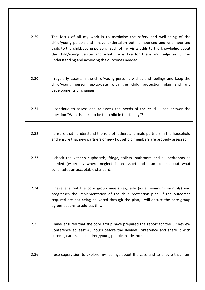| 2.29. | The focus of all my work is to maximise the safety and well-being of the<br>child/young person and I have undertaken both announced and unannounced<br>visits to the child/young person. Each of my visits adds to the knowledge about<br>the child/young person and what life is like for them and helps in further<br>understanding and achieving the outcomes needed. |
|-------|--------------------------------------------------------------------------------------------------------------------------------------------------------------------------------------------------------------------------------------------------------------------------------------------------------------------------------------------------------------------------|
| 2.30. | I regularly ascertain the child/young person's wishes and feelings and keep the<br>child/young person up-to-date with the child protection plan and any<br>developments or changes.                                                                                                                                                                                      |
| 2.31. | I continue to assess and re-assess the needs of the child-I can answer the<br>question "What is it like to be this child in this family"?                                                                                                                                                                                                                                |
| 2.32. | I ensure that I understand the role of fathers and male partners in the household<br>and ensure that new partners or new household members are properly assessed.                                                                                                                                                                                                        |
| 2.33. | I check the kitchen cupboards, fridge, toilets, bathroom and all bedrooms as<br>needed (especially where neglect is an issue) and I am clear about what<br>constitutes an acceptable standard.                                                                                                                                                                           |
| 2.34. | I have ensured the core group meets regularly (as a minimum monthly) and<br>progresses the implementation of the child protection plan. If the outcomes<br>required are not being delivered through the plan, I will ensure the core group<br>agrees actions to address this.                                                                                            |
| 2.35. | I have ensured that the core group have prepared the report for the CP Review<br>Conference at least 48 hours before the Review Conference and share it with<br>parents, carers and children/young people in advance.                                                                                                                                                    |
| 2.36. | I use supervision to explore my feelings about the case and to ensure that I am                                                                                                                                                                                                                                                                                          |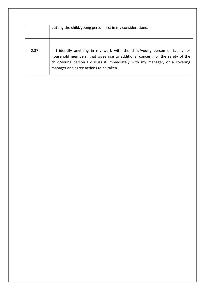|       | putting the child/young person first in my considerations.                                                                                                                                                                                                                            |  |  |  |  |
|-------|---------------------------------------------------------------------------------------------------------------------------------------------------------------------------------------------------------------------------------------------------------------------------------------|--|--|--|--|
| 2.37. | If I identify anything in my work with the child/young person or family, or<br>household members, that gives rise to additional concern for the safety of the<br>child/young person I discuss it immediately with my manager, or a covering<br>manager and agree actions to be taken. |  |  |  |  |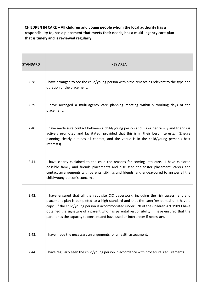## **CHILDREN IN CARE – All children and young people whom the local authority has a responsibility to, has a placement that meets their needs, has a multi- agency care plan that is timely and is reviewed regularly.**

| <b>STANDARD</b> | <b>KEY AREA</b>                                                                                                                                                                                                                                                                                                                                                                                                                                                  |
|-----------------|------------------------------------------------------------------------------------------------------------------------------------------------------------------------------------------------------------------------------------------------------------------------------------------------------------------------------------------------------------------------------------------------------------------------------------------------------------------|
| 2.38.           | I have arranged to see the child/young person within the timescales relevant to the type and<br>duration of the placement.                                                                                                                                                                                                                                                                                                                                       |
| 2.39.           | I have arranged a multi-agency care planning meeting within 5 working days of the<br>placement.                                                                                                                                                                                                                                                                                                                                                                  |
| 2.40.           | I have made sure contact between a child/young person and his or her family and friends is<br>actively promoted and facilitated, provided that this is in their best interests. (Ensure<br>planning clearly outlines all contact, and the venue is in the child/young person's best<br>interests).                                                                                                                                                               |
| 2.41.           | I have clearly explained to the child the reasons for coming into care. I have explored<br>possible family and friends placements and discussed the foster placement, carers and<br>contact arrangements with parents, siblings and friends, and endeavoured to answer all the<br>child/young person's concerns.                                                                                                                                                 |
| 2.42.           | I have ensured that all the requisite CIC paperwork, including the risk assessment and<br>placement plan is completed to a high standard and that the carer/residential unit have a<br>copy. If the child/young person is accommodated under S20 of the Children Act 1989 I have<br>obtained the signature of a parent who has parental responsibility. I have ensured that the<br>parent has the capacity to consent and have used an interpreter if necessary. |
| 2.43.           | I have made the necessary arrangements for a health assessment.                                                                                                                                                                                                                                                                                                                                                                                                  |
| 2.44.           | I have regularly seen the child/young person in accordance with procedural requirements.                                                                                                                                                                                                                                                                                                                                                                         |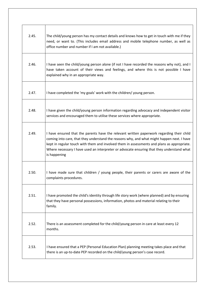| 2.45. | The child/young person has my contact details and knows how to get in touch with me if they<br>need, or want to. (This includes email address and mobile telephone number, as well as<br>office number and number if I am not available.)                                                                                                                                                          |
|-------|----------------------------------------------------------------------------------------------------------------------------------------------------------------------------------------------------------------------------------------------------------------------------------------------------------------------------------------------------------------------------------------------------|
| 2.46. | I have seen the child/young person alone (if not I have recorded the reasons why not), and I<br>have taken account of their views and feelings, and where this is not possible I have<br>explained why in an appropriate way.                                                                                                                                                                      |
| 2.47. | I have completed the 'my goals' work with the children/ young person.                                                                                                                                                                                                                                                                                                                              |
| 2.48. | I have given the child/young person information regarding advocacy and independent visitor<br>services and encouraged them to utilise these services where appropriate.                                                                                                                                                                                                                            |
| 2.49. | I have ensured that the parents have the relevant written paperwork regarding their child<br>coming into care, that they understand the reasons why, and what might happen next. I have<br>kept in regular touch with them and involved them in assessments and plans as appropriate.<br>Where necessary I have used an interpreter or advocate ensuring that they understand what<br>is happening |
| 2.50. | I have made sure that children / young people, their parents or carers are aware of the<br>complaints procedures.                                                                                                                                                                                                                                                                                  |
| 2.51. | I have promoted the child's identity through life story work (where planned) and by ensuring<br>that they have personal possessions, information, photos and material relating to their<br>family.                                                                                                                                                                                                 |
| 2.52. | There is an assessment completed for the child/young person in care at least every 12<br>months.                                                                                                                                                                                                                                                                                                   |
| 2.53. | I have ensured that a PEP (Personal Education Plan) planning meeting takes place and that<br>there is an up-to-date PEP recorded on the child/young person's case record.                                                                                                                                                                                                                          |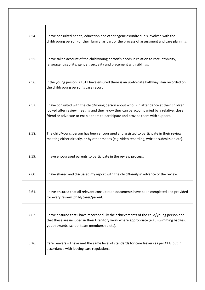| 2.54. | I have consulted health, education and other agencies/individuals involved with the<br>child/young person (or their family) as part of the process of assessment and care planning.                                                                                    |
|-------|------------------------------------------------------------------------------------------------------------------------------------------------------------------------------------------------------------------------------------------------------------------------|
| 2.55. | I have taken account of the child/young person's needs in relation to race, ethnicity,<br>language, disability, gender, sexuality and placement with siblings.                                                                                                         |
| 2.56. | If the young person is 16+ I have ensured there is an up-to-date Pathway Plan recorded on<br>the child/young person's case record.                                                                                                                                     |
| 2.57. | I have consulted with the child/young person about who is in attendance at their children<br>looked after review meeting and they know they can be accompanied by a relative, close<br>friend or advocate to enable them to participate and provide them with support. |
| 2.58. | The child/young person has been encouraged and assisted to participate in their review<br>meeting either directly, or by other means (e.g. video recording, written submission etc).                                                                                   |
| 2.59. | I have encouraged parents to participate in the review process.                                                                                                                                                                                                        |
| 2.60. | I have shared and discussed my report with the child/family in advance of the review.                                                                                                                                                                                  |
| 2.61. | I have ensured that all relevant consultation documents have been completed and provided<br>for every review (child/carer/parent).                                                                                                                                     |
| 2.62. | I have ensured that I have recorded fully the achievements of the child/young person and<br>that these are included in their Life Story work where appropriate (e.g., swimming badges,<br>youth awards, school team membership etc).                                   |
| 5.26. | Care Leavers - I have met the same level of standards for care leavers as per CLA, but in<br>accordance with leaving care regulations.                                                                                                                                 |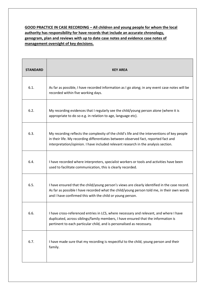**GOOD PRACTICE IN CASE RECORDING – All children and young people for whom the local authority has responsibility for have records that include an accurate chronology, genogram, plan and reviews with up to date case notes and evidence case notes of management oversight of key decisions.** 

| <b>STANDARD</b> | <b>KEY AREA</b>                                                                                                                                                                                                                                                           |
|-----------------|---------------------------------------------------------------------------------------------------------------------------------------------------------------------------------------------------------------------------------------------------------------------------|
| 6.1.            | As far as possible, I have recorded information as I go along; in any event case notes will be<br>recorded within five working days.                                                                                                                                      |
| 6.2.            | My recording evidences that I regularly see the child/young person alone (where it is<br>appropriate to do so e.g. in relation to age, language etc).                                                                                                                     |
| 6.3.            | My recording reflects the complexity of the child's life and the interventions of key people<br>in their life. My recording differentiates between observed fact, reported fact and<br>interpretation/opinion. I have included relevant research in the analysis section. |
| 6.4.            | I have recorded where interpreters, specialist workers or tools and activities have been<br>used to facilitate communication, this is clearly recorded.                                                                                                                   |
| 6.5.            | I have ensured that the child/young person's views are clearly identified in the case record.<br>As far as possible I have recorded what the child/young person told me, in their own words<br>and I have confirmed this with the child or young person.                  |
| 6.6.            | I have cross-referenced entries in LCS, where necessary and relevant, and where I have<br>duplicated, across siblings/family members, I have ensured that the information is<br>pertinent to each particular child, and is personalised as necessary.                     |
| 6.7.            | I have made sure that my recording is respectful to the child, young person and their<br>family.                                                                                                                                                                          |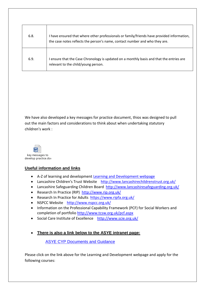| 6.8. | I have ensured that where other professionals or family/friends have provided information,<br>the case notes reflects the person's name, contact number and who they are. |
|------|---------------------------------------------------------------------------------------------------------------------------------------------------------------------------|
| 6.9. | I ensure that the Case Chronology is updated on a monthly basis and that the entries are<br>relevant to the child/young person.                                           |

We have also developed a key messages for practice document, thios was designed to pull out the main factors and considerations to think about when undertaking statutory children's work :



## **Useful information and links**

- A-Z of learning and developmen[t Learning and Development webpage](http://lccintranet2.lancscc.gov.uk/corporate/web/view.asp?siteid=3825&pageid=14569&e=e)
- Lancashire Children's Trust Website <http://www.lancashirechildrenstrust.org.uk/>
- Lancashire Safeguarding Children Board <http://www.lancashiresafeguarding.org.uk/>
- Research In Practice (RIP) <http://www.rip.org.uk/>
- Research In Practice for Adults <https://www.ripfa.org.uk/>
- NSPCC Website <http://www.nspcc.org.uk/>
- Information on the Professional Capability Framework (PCF) for Social Workers and completion of portfolio<http://www.tcsw.org.uk/pcf.aspx>
- Social Care Institute of Excellence <http://www.scie.org.uk/>
- **There is also a link below to the ASYE intranet page:**

[ASYE CYP Documents and Guidance](http://lccintranet2.lancscc.gov.uk/corporate/web/view.asp?siteid=3825&pageid=46995&e=e)

Please click on the link above for the Learning and Development webpage and apply for the following courses: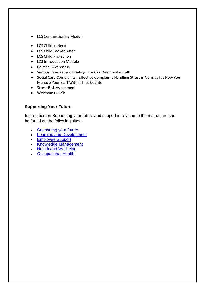- [LCS Commissioning Module](http://lccintranet2/corporate/web/?siteid=3825&pageid=45427&e=e)
- [LCS Child in Need](http://lccintranet2/corporate/web/?siteid=3825&pageid=45572&e=e)
- [LCS Child Looked After](http://lccintranet2/corporate/web/?siteid=3825&pageid=45737&e=e)
- **•** [LCS Child Protection](http://lccintranet2/corporate/web/?siteid=3825&pageid=45573&e=e)
- [LCS Introduction Module](http://lccintranet2/corporate/web/?siteid=3825&pageid=45571&e=e)
- [Political Awareness](http://lccintranet2.lancscc.gov.uk/corporate/web/view.asp?siteid=3825&pageid=33055&e=e)
- **•** [Serious Case Review Briefings For CYP Directorate Staff](http://lccintranet2.lancscc.gov.uk/corporate/web/view.asp?siteid=3825&pageid=43722&e=e)
- Social Care Complaints [Effective Complaints Handling](http://lccintranet2.lancscc.gov.uk/corporate/web/view.asp?siteid=3825&pageid=46304&e=e) [Stress is Normal, It's How You](http://lccintranet2/corporate/web/?siteid=3825&pageid=41956&e=e)  [Manage Your Staff With it That Counts](http://lccintranet2/corporate/web/?siteid=3825&pageid=41956&e=e)
- **•** [Stress Risk Assessment](http://lccintranet2/corporate/web/view.asp?siteid=3825&pageid=45282&e=e)
- [Welcome to CYP](http://lccintranet2.lancscc.gov.uk/corporate/web/view.asp?siteid=3825&pageid=44998&e=e)

## **Supporting Your Future**

Information on Supporting your future and support in relation to the restructure can be found on the following sites:-

- [Supporting your future](http://lccintranet2/corporate/web/?siteid=7079&pageid=44322&e=e)
- [Learning and Development](http://lccintranet2/corporate/web/?siteid=7079&pageid=44759#anchor229581)
- [Employee Support](http://lccintranet2/corporate/web/?siteid=7205&pageid=45968&e=e)
- [Knowledge Management](http://lccintranet2/corporate/web/?siteid=7079&pageid=44759#anchor229586)
- [Health and Wellbeing](http://lccintranet2/corporate/web/?siteid=7079&pageid=44759#anchor229590)
- [Occupational Health](http://lccintranet2/corporate/web/?siteid=7079&pageid=44759#anchor229591)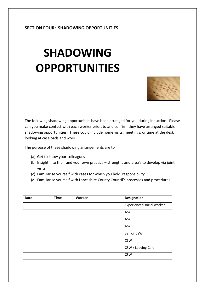#### **SECTION FOUR: SHADOWING OPPORTUNITIES**

## **SHADOWING OPPORTUNITIES**



The following shadowing opportunities have been arranged for you during induction. Please can you make contact with each worker prior, to and confirm they have arranged suitable shadowing opportunities. These could include home visits, meetings, or time at the desk looking at caseloads and work.

The purpose of these shadowing arrangements are to

(a) Get to know your colleagues

.

- (b) Insight into their and your own practice strengths and area's to develop via joint visits
- (c) Familiarise yourself with cases for which you hold responsibility
- (d) Familiarise yourself with Lancashire County Council's processes and procedures

| <b>Date</b> | <b>Time</b> | Worker | <b>Designation</b>        |
|-------------|-------------|--------|---------------------------|
|             |             |        | Experienced social worker |
|             |             |        | ASYE                      |
|             |             |        | ASYE                      |
|             |             |        | ASYE                      |
|             |             |        | Senior CSW                |
|             |             |        | <b>CSW</b>                |
|             |             |        | CSW / Leaving Care        |
|             |             |        | <b>CSW</b>                |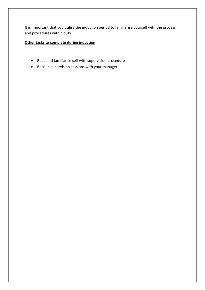It is important that you utilise the induction period to familiarise yourself with the process and procedures within duty

## **Other tasks to complete during induction**

- Read and familiarise self with supervision procedure
- Book in supervision sessions with your manager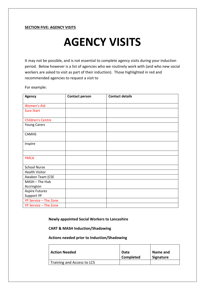#### **SECTION FIVE: AGENCY VISITS**

## **AGENCY VISITS**

It may not be possible, and is not essential to complete agency visits during your induction period. Below however is a list of agencies who we routinely work with (and who new social workers are asked to visit as part of their induction). Those highlighted in red and recommended agencies to request a visit to

For example:

| <b>Agency</b>            | <b>Contact person</b> | <b>Contact details</b> |
|--------------------------|-----------------------|------------------------|
|                          |                       |                        |
| <b>Women's Aid</b>       |                       |                        |
| <b>Sure Start</b>        |                       |                        |
| <b>Children's Centre</b> |                       |                        |
| <b>Young Carers</b>      |                       |                        |
| <b>CAMHS</b>             |                       |                        |
| Inspire                  |                       |                        |
|                          |                       |                        |
| <b>YMCA</b>              |                       |                        |
| <b>School Nurse</b>      |                       |                        |
| <b>Health Visitor</b>    |                       |                        |
| Awaken Team (CSE         |                       |                        |
| MASH - The Hub           |                       |                        |
| Accrington               |                       |                        |
| <b>Aspire Futures</b>    |                       |                        |
| Support YP               |                       |                        |
| YP Service - The Zone    |                       |                        |
| YP Service - The Zone    |                       |                        |

#### **Newly appointed Social Workers to Lancashire**

#### **CART & MASH Induction/Shadowing**

#### **Actions needed prior to Induction/Shadowing**

| <b>Action Needed</b>       | Date<br>Completed | Name and<br>Signature |
|----------------------------|-------------------|-----------------------|
| Training and Access to LCS |                   |                       |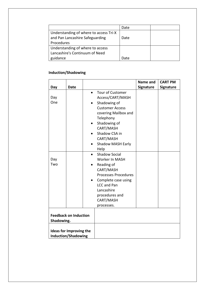|                                        | Date |  |
|----------------------------------------|------|--|
| Understanding of where to access Tri-X |      |  |
| and Pan Lancashire Safeguarding        | Date |  |
| Procedures                             |      |  |
| Understanding of where to access       |      |  |
| Lancashire's Continuum of Need         |      |  |
| guidance                               | Date |  |

## **Induction/Shadowing**

|                                            |                                                       |                |                                                                                                                                                                                                             | Name and         | <b>CART PM</b> |
|--------------------------------------------|-------------------------------------------------------|----------------|-------------------------------------------------------------------------------------------------------------------------------------------------------------------------------------------------------------|------------------|----------------|
| Day                                        | <b>Date</b>                                           |                |                                                                                                                                                                                                             | <b>Signature</b> | Signature      |
| Day<br>One                                 |                                                       | $\bullet$<br>٠ | Tour of Customer<br>Access/CART/MASH<br>Shadowing of<br><b>Customer Access</b><br>covering Mailbox and<br>Telephony<br>Shadowing of<br>CART/MASH<br>Shadow CSA in<br>CART/MASH<br>Shadow MASH Early<br>Help |                  |                |
| Day<br>Two                                 |                                                       | $\bullet$      | <b>Shadow Social</b><br>Worker In MASH<br>Reading of<br>CART/MASH<br><b>Processes Procedures</b><br>Complete case using<br><b>LCC</b> and Pan<br>Lancashire<br>procedures and<br>CART/MASH<br>processes.    |                  |                |
| <b>Feedback on Induction</b><br>Shadowing. |                                                       |                |                                                                                                                                                                                                             |                  |                |
|                                            | Ideas for Improving the<br><b>Induction/Shadowing</b> |                |                                                                                                                                                                                                             |                  |                |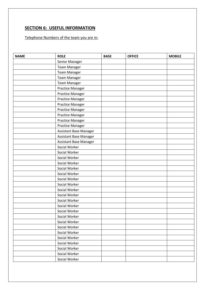## **SECTION 6: USEFUL INFORMATION**

## Telephone Numbers of the team you are in:

| <b>NAME</b> | <b>ROLE</b>                   | <b>BASE</b> | <b>OFFICE</b> | <b>MOBILE</b> |
|-------------|-------------------------------|-------------|---------------|---------------|
|             | Senior Manager                |             |               |               |
|             | <b>Team Manager</b>           |             |               |               |
|             | <b>Team Manager</b>           |             |               |               |
|             | <b>Team Manager</b>           |             |               |               |
|             | <b>Team Manager</b>           |             |               |               |
|             | Practice Manager              |             |               |               |
|             | Practice Manager              |             |               |               |
|             | Practice Manager              |             |               |               |
|             | Practice Manager              |             |               |               |
|             | Practice Manager              |             |               |               |
|             | Practice Manager              |             |               |               |
|             | Practice Manager              |             |               |               |
|             | Practice Manager              |             |               |               |
|             | Assistant Base Manager        |             |               |               |
|             | <b>Assistant Base Manager</b> |             |               |               |
|             | Assistant Base Manager        |             |               |               |
|             | Social Worker                 |             |               |               |
|             | Social Worker                 |             |               |               |
|             | Social Worker                 |             |               |               |
|             | Social Worker                 |             |               |               |
|             | Social Worker                 |             |               |               |
|             | Social Worker                 |             |               |               |
|             | Social Worker                 |             |               |               |
|             | Social Worker                 |             |               |               |
|             | Social Worker                 |             |               |               |
|             | Social Worker                 |             |               |               |
|             | Social Worker                 |             |               |               |
|             | Social Worker                 |             |               |               |
|             | Social Worker                 |             |               |               |
|             | Social Worker                 |             |               |               |
|             | Social Worker                 |             |               |               |
|             | Social Worker                 |             |               |               |
|             | Social Worker                 |             |               |               |
|             | Social Worker                 |             |               |               |
|             | Social Worker                 |             |               |               |
|             | Social Worker                 |             |               |               |
|             | Social Worker                 |             |               |               |
|             | Social Worker                 |             |               |               |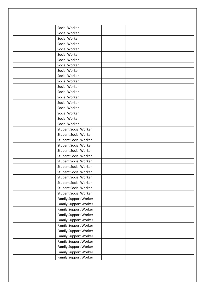| Social Worker                |  |  |
|------------------------------|--|--|
| Social Worker                |  |  |
| Social Worker                |  |  |
| Social Worker                |  |  |
| Social Worker                |  |  |
| Social Worker                |  |  |
| Social Worker                |  |  |
| Social Worker                |  |  |
| Social Worker                |  |  |
| Social Worker                |  |  |
| Social Worker                |  |  |
| Social Worker                |  |  |
| Social Worker                |  |  |
| Social Worker                |  |  |
| Social Worker                |  |  |
| Social Worker                |  |  |
| Social Worker                |  |  |
| Social Worker                |  |  |
| Social Worker                |  |  |
| <b>Student Social Worker</b> |  |  |
| <b>Student Social Worker</b> |  |  |
| <b>Student Social Worker</b> |  |  |
| <b>Student Social Worker</b> |  |  |
| <b>Student Social Worker</b> |  |  |
| <b>Student Social Worker</b> |  |  |
| <b>Student Social Worker</b> |  |  |
| <b>Student Social Worker</b> |  |  |
| <b>Student Social Worker</b> |  |  |
| <b>Student Social Worker</b> |  |  |
| <b>Student Social Worker</b> |  |  |
| <b>Student Social Worker</b> |  |  |
| <b>Student Social Worker</b> |  |  |
| <b>Family Support Worker</b> |  |  |
| <b>Family Support Worker</b> |  |  |
| <b>Family Support Worker</b> |  |  |
| <b>Family Support Worker</b> |  |  |
| Family Support Worker        |  |  |
| <b>Family Support Worker</b> |  |  |
| <b>Family Support Worker</b> |  |  |
| <b>Family Support Worker</b> |  |  |
| <b>Family Support Worker</b> |  |  |
| Family Support Worker        |  |  |
| <b>Family Support Worker</b> |  |  |
| Family Support Worker        |  |  |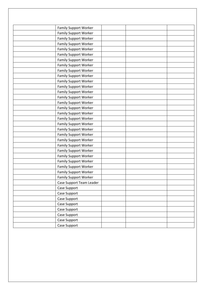| <b>Family Support Worker</b> |  |  |
|------------------------------|--|--|
| <b>Family Support Worker</b> |  |  |
| <b>Family Support Worker</b> |  |  |
| <b>Family Support Worker</b> |  |  |
| Family Support Worker        |  |  |
| Family Support Worker        |  |  |
| <b>Family Support Worker</b> |  |  |
| <b>Family Support Worker</b> |  |  |
| <b>Family Support Worker</b> |  |  |
| <b>Family Support Worker</b> |  |  |
| <b>Family Support Worker</b> |  |  |
| Family Support Worker        |  |  |
| <b>Family Support Worker</b> |  |  |
| <b>Family Support Worker</b> |  |  |
| <b>Family Support Worker</b> |  |  |
| <b>Family Support Worker</b> |  |  |
| <b>Family Support Worker</b> |  |  |
| <b>Family Support Worker</b> |  |  |
| <b>Family Support Worker</b> |  |  |
| <b>Family Support Worker</b> |  |  |
| <b>Family Support Worker</b> |  |  |
| <b>Family Support Worker</b> |  |  |
| <b>Family Support Worker</b> |  |  |
| <b>Family Support Worker</b> |  |  |
| <b>Family Support Worker</b> |  |  |
| <b>Family Support Worker</b> |  |  |
| <b>Family Support Worker</b> |  |  |
| <b>Family Support Worker</b> |  |  |
| <b>Family Support Worker</b> |  |  |
| Case Support Team Leader     |  |  |
| Case Support                 |  |  |
| Case Support                 |  |  |
| Case Support                 |  |  |
| Case Support                 |  |  |
| Case Support                 |  |  |
| Case Support                 |  |  |
| Case Support                 |  |  |
| Case Support                 |  |  |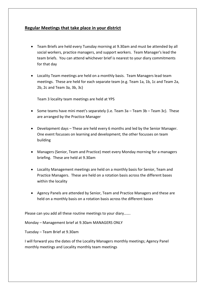## **Regular Meetings that take place in your district**

- Team Briefs are held every Tuesday morning at 9.30am and must be attended by all social workers, practice managers, and support workers. Team Manager's lead the team briefs. You can attend whichever brief is nearest to your diary commitments for that day
- Locality Team meetings are held on a monthly basis. Team Managers lead team meetings. These are held for each separate team (e.g. Team 1a, 1b, 1c and Team 2a, 2b, 2c and Team 3a, 3b, 3c)

Team 3 locality team meetings are held at YPS

- Some teams have mini meet's separately (i.e. Team 3a Team 3b Team 3c). These are arranged by the Practice Manager
- Development days These are held every 6 months and led by the Senior Manager. One event focusses on learning and development; the other focusses on team building
- Managers (Senior, Team and Practice) meet every Monday morning for a managers briefing. These are held at 9.30am
- Locality Management meetings are held on a monthly basis for Senior, Team and Practice Managers. These are held on a rotation basis across the different bases within the locality
- Agency Panels are attended by Senior, Team and Practice Managers and these are held on a monthly basis on a rotation basis across the different bases

Please can you add all these routine meetings to your diary…….

Monday – Management brief at 9.30am MANAGERS ONLY

Tuesday – Team Brief at 9.30am

I will forward you the dates of the Locality Managers monthly meetings; Agency Panel monthly meetings and Locality monthly team meetings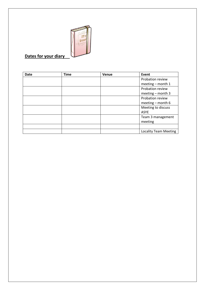

## **Dates for your diary**

| <b>Date</b> | <b>Time</b> | <b>Venue</b> | Event                        |
|-------------|-------------|--------------|------------------------------|
|             |             |              | Probation review             |
|             |             |              | meeting $-$ month 1          |
|             |             |              | Probation review             |
|             |             |              | meeting $-$ month 3          |
|             |             |              | Probation review             |
|             |             |              | meeting $-$ month 6          |
|             |             |              | Meeting to discuss           |
|             |             |              | <b>ASYE</b>                  |
|             |             |              | Team 3 management            |
|             |             |              | meeting                      |
|             |             |              |                              |
|             |             |              | <b>Locality Team Meeting</b> |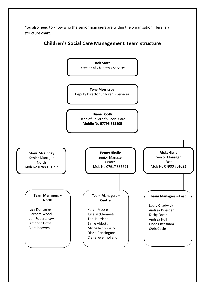You also need to know who the senior managers are within the organisation. Here is a structure chart.



## **Children's Social Care Management Team structure**